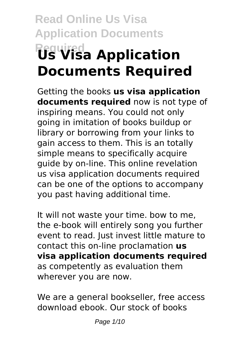# **Read Online Us Visa Application Documents Required Us Visa Application Documents Required**

Getting the books **us visa application documents required** now is not type of inspiring means. You could not only going in imitation of books buildup or library or borrowing from your links to gain access to them. This is an totally simple means to specifically acquire guide by on-line. This online revelation us visa application documents required can be one of the options to accompany you past having additional time.

It will not waste your time. bow to me, the e-book will entirely song you further event to read. Just invest little mature to contact this on-line proclamation **us visa application documents required** as competently as evaluation them wherever you are now.

We are a general bookseller, free access download ebook. Our stock of books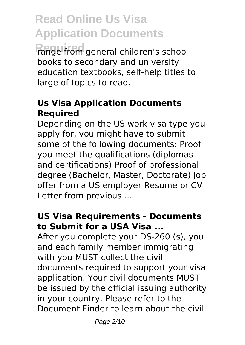Pange from general children's school books to secondary and university education textbooks, self-help titles to large of topics to read.

### **Us Visa Application Documents Required**

Depending on the US work visa type you apply for, you might have to submit some of the following documents: Proof you meet the qualifications (diplomas and certifications) Proof of professional degree (Bachelor, Master, Doctorate) Job offer from a US employer Resume or CV Letter from previous ...

### **US Visa Requirements - Documents to Submit for a USA Visa ...**

After you complete your DS-260 (s), you and each family member immigrating with you MUST collect the civil documents required to support your visa application. Your civil documents MUST be issued by the official issuing authority in your country. Please refer to the Document Finder to learn about the civil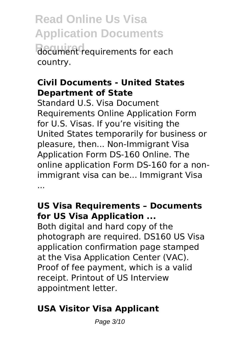**Read Online Us Visa Application Documents Requirements** for each country.

### **Civil Documents - United States Department of State**

Standard U.S. Visa Document Requirements Online Application Form for U.S. Visas. If you're visiting the United States temporarily for business or pleasure, then... Non-Immigrant Visa Application Form DS-160 Online. The online application Form DS-160 for a nonimmigrant visa can be... Immigrant Visa ...

### **US Visa Requirements – Documents for US Visa Application ...**

Both digital and hard copy of the photograph are required. DS160 US Visa application confirmation page stamped at the Visa Application Center (VAC). Proof of fee payment, which is a valid receipt. Printout of US Interview appointment letter.

### **USA Visitor Visa Applicant**

Page 3/10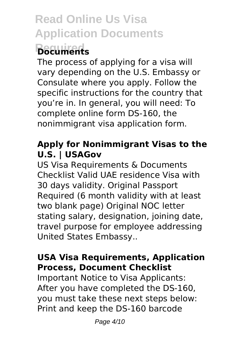## **Required Documents**

The process of applying for a visa will vary depending on the U.S. Embassy or Consulate where you apply. Follow the specific instructions for the country that you're in. In general, you will need: To complete online form DS-160, the nonimmigrant visa application form.

### **Apply for Nonimmigrant Visas to the U.S. | USAGov**

US Visa Requirements & Documents Checklist Valid UAE residence Visa with 30 days validity. Original Passport Required (6 month validity with at least two blank page) Original NOC letter stating salary, designation, joining date, travel purpose for employee addressing United States Embassy..

### **USA Visa Requirements, Application Process, Document Checklist**

Important Notice to Visa Applicants: After you have completed the DS-160, you must take these next steps below: Print and keep the DS-160 barcode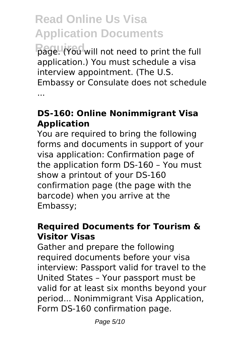page. (You will not need to print the full application.) You must schedule a visa interview appointment. (The U.S. Embassy or Consulate does not schedule ...

### **DS-160: Online Nonimmigrant Visa Application**

You are required to bring the following forms and documents in support of your visa application: Confirmation page of the application form DS-160 – You must show a printout of your DS-160 confirmation page (the page with the barcode) when you arrive at the Embassy;

### **Required Documents for Tourism & Visitor Visas**

Gather and prepare the following required documents before your visa interview: Passport valid for travel to the United States – Your passport must be valid for at least six months beyond your period... Nonimmigrant Visa Application, Form DS-160 confirmation page.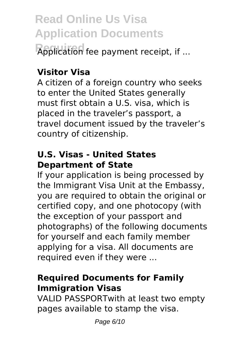**Required** Application fee payment receipt, if ...

### **Visitor Visa**

A citizen of a foreign country who seeks to enter the United States generally must first obtain a U.S. visa, which is placed in the traveler's passport, a travel document issued by the traveler's country of citizenship.

### **U.S. Visas - United States Department of State**

If your application is being processed by the Immigrant Visa Unit at the Embassy, you are required to obtain the original or certified copy, and one photocopy (with the exception of your passport and photographs) of the following documents for yourself and each family member applying for a visa. All documents are required even if they were ...

### **Required Documents for Family Immigration Visas**

VALID PASSPORTwith at least two empty pages available to stamp the visa.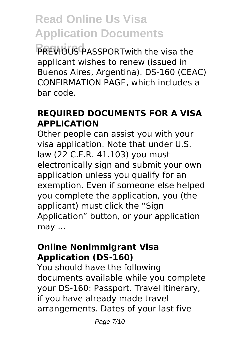**PREVIOUS PASSPORTwith the visa the** applicant wishes to renew (issued in Buenos Aires, Argentina). DS-160 (CEAC) CONFIRMATION PAGE, which includes a bar code.

### **REQUIRED DOCUMENTS FOR A VISA APPLICATION**

Other people can assist you with your visa application. Note that under U.S. law (22 C.F.R. 41.103) you must electronically sign and submit your own application unless you qualify for an exemption. Even if someone else helped you complete the application, you (the applicant) must click the "Sign Application" button, or your application may ...

#### **Online Nonimmigrant Visa Application (DS-160)**

You should have the following documents available while you complete your DS-160: Passport. Travel itinerary, if you have already made travel arrangements. Dates of your last five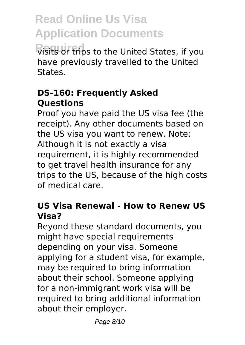**Required** visits or trips to the United States, if you have previously travelled to the United States.

### **DS-160: Frequently Asked Questions**

Proof you have paid the US visa fee (the receipt). Any other documents based on the US visa you want to renew. Note: Although it is not exactly a visa requirement, it is highly recommended to get travel health insurance for any trips to the US, because of the high costs of medical care.

### **US Visa Renewal - How to Renew US Visa?**

Beyond these standard documents, you might have special requirements depending on your visa. Someone applying for a student visa, for example, may be required to bring information about their school. Someone applying for a non-immigrant work visa will be required to bring additional information about their employer.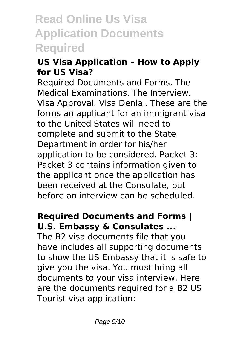### **US Visa Application – How to Apply for US Visa?**

Required Documents and Forms. The Medical Examinations. The Interview. Visa Approval. Visa Denial. These are the forms an applicant for an immigrant visa to the United States will need to complete and submit to the State Department in order for his/her application to be considered. Packet 3: Packet 3 contains information given to the applicant once the application has been received at the Consulate, but before an interview can be scheduled.

### **Required Documents and Forms | U.S. Embassy & Consulates ...**

The B2 visa documents file that you have includes all supporting documents to show the US Embassy that it is safe to give you the visa. You must bring all documents to your visa interview. Here are the documents required for a B2 US Tourist visa application: